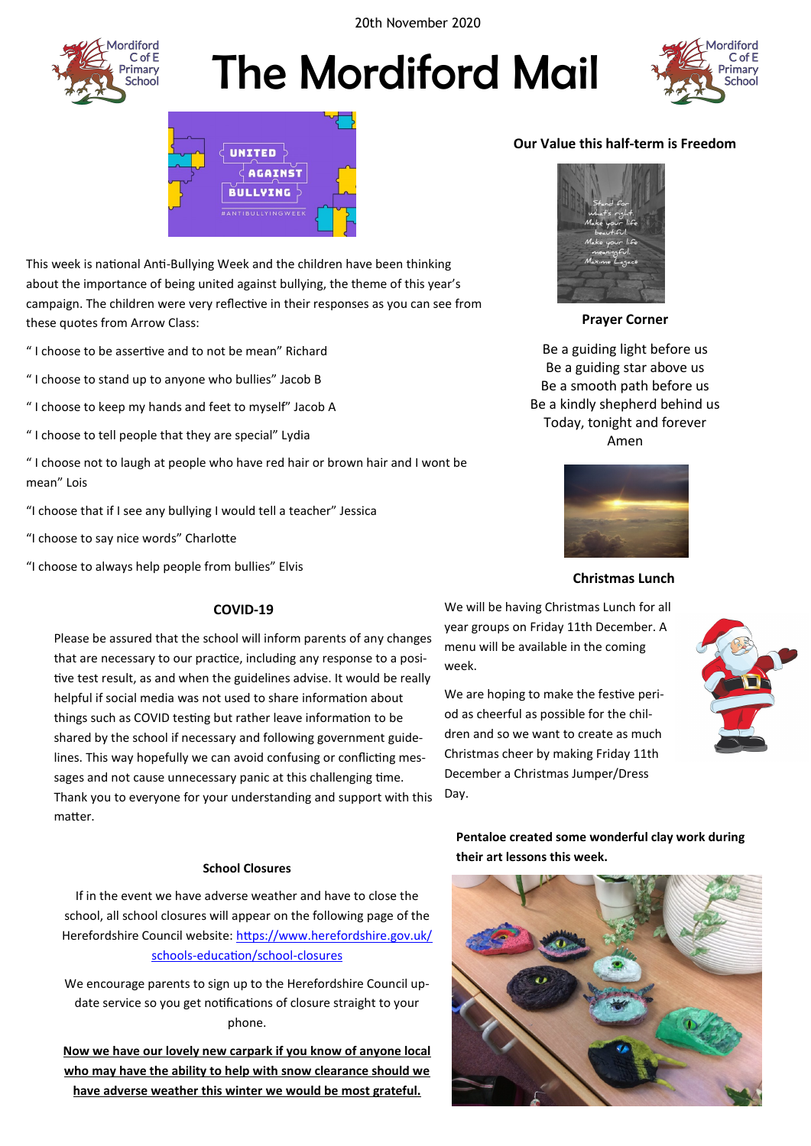20th November 2020



# The Mordiford Mail





This week is national Anti-Bullying Week and the children have been thinking about the importance of being united against bullying, the theme of this year's campaign. The children were very reflective in their responses as you can see from these quotes from Arrow Class:

" I choose to be assertive and to not be mean" Richard

- " I choose to stand up to anyone who bullies" Jacob B
- " I choose to keep my hands and feet to myself" Jacob A
- " I choose to tell people that they are special" Lydia

" I choose not to laugh at people who have red hair or brown hair and I wont be mean" Lois

"I choose that if I see any bullying I would tell a teacher" Jessica

"I choose to say nice words" Charlotte

"I choose to always help people from bullies" Elvis

#### **COVID-19**

Please be assured that the school will inform parents of any changes that are necessary to our practice, including any response to a positive test result, as and when the guidelines advise. It would be really helpful if social media was not used to share information about things such as COVID testing but rather leave information to be shared by the school if necessary and following government guidelines. This way hopefully we can avoid confusing or conflicting messages and not cause unnecessary panic at this challenging time. Thank you to everyone for your understanding and support with this matter.

#### **School Closures**

If in the event we have adverse weather and have to close the school, all school closures will appear on the following page of the Herefordshire Council website: [https://www.herefordshire.gov.uk/](https://www.herefordshire.gov.uk/schools-education/school-closures) schools-[education/school](https://www.herefordshire.gov.uk/schools-education/school-closures)-closures

We encourage parents to sign up to the Herefordshire Council update service so you get notifications of closure straight to your phone.

**Now we have our lovely new carpark if you know of anyone local who may have the ability to help with snow clearance should we have adverse weather this winter we would be most grateful.** 

#### **Our Value this half-term is Freedom**



**Prayer Corner**

Be a guiding light before us Be a guiding star above us Be a smooth path before us Be a kindly shepherd behind us Today, tonight and forever Amen



#### **Christmas Lunch**

We will be having Christmas Lunch for all year groups on Friday 11th December. A menu will be available in the coming week.

We are hoping to make the festive period as cheerful as possible for the children and so we want to create as much Christmas cheer by making Friday 11th December a Christmas Jumper/Dress Day.



**Pentaloe created some wonderful clay work during their art lessons this week.**